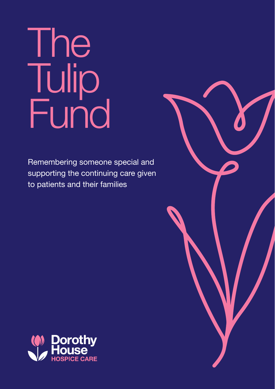# The Tulip Fund

Remembering someone special and supporting the continuing care given to patients and their families



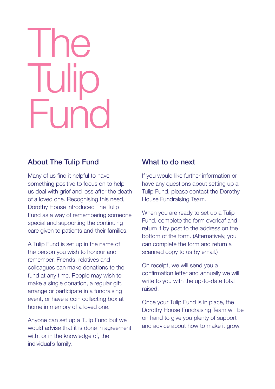# The **Tuli H**un

### About The Tulip Fund

Many of us find it helpful to have something positive to focus on to help us deal with grief and loss after the death of a loved one. Recognising this need, Dorothy House introduced The Tulip Fund as a way of remembering someone special and supporting the continuing care given to patients and their families.

A Tulip Fund is set up in the name of the person you wish to honour and remember. Friends, relatives and colleagues can make donations to the fund at any time. People may wish to make a single donation, a regular gift, arrange or participate in a fundraising event, or have a coin collecting box at home in memory of a loved one.

Anyone can set up a Tulip Fund but we would advise that it is done in agreement with, or in the knowledge of, the individual's family.

### What to do next

If you would like further information or have any questions about setting up a Tulip Fund, please contact the Dorothy House Fundraising Team.

When you are ready to set up a Tulip Fund, complete the form overleaf and return it by post to the address on the bottom of the form. (Alternatively, you can complete the form and return a scanned copy to us by email.)

On receipt, we will send you a confirmation letter and annually we will write to you with the up-to-date total raised.

Once your Tulip Fund is in place, the Dorothy House Fundraising Team will be on hand to give you plenty of support and advice about how to make it grow.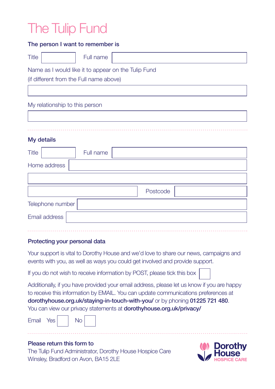## The Tulip Fund

| The person I want to remember is                    |           |  |          |  |  |
|-----------------------------------------------------|-----------|--|----------|--|--|
| <b>Title</b>                                        | Full name |  |          |  |  |
| Name as I would like it to appear on the Tulip Fund |           |  |          |  |  |
| (if different from the Full name above)             |           |  |          |  |  |
|                                                     |           |  |          |  |  |
| My relationship to this person                      |           |  |          |  |  |
|                                                     |           |  |          |  |  |
|                                                     |           |  |          |  |  |
| My details                                          |           |  |          |  |  |
| <b>Title</b>                                        | Full name |  |          |  |  |
| Home address                                        |           |  |          |  |  |
|                                                     |           |  |          |  |  |
|                                                     |           |  | Postcode |  |  |

| Telephone number |  |  |
|------------------|--|--|
| Email address    |  |  |

#### Protecting your personal data

Your support is vital to Dorothy House and we'd love to share our news, campaigns and events with you, as well as ways you could get involved and provide support.

If you do not wish to receive information by POST, please tick this box

Additionally, if you have provided your email address, please let us know if you are happy to receive this information by EMAIL. You can update communications preferences at dorothyhouse.org.uk/staying-in-touch-with-you/ or by phoning 01225 721 480. You can view our privacy statements at **dorothyhouse.org.uk/privacy/** 

|  | Email | Yes, |  | No |
|--|-------|------|--|----|
|--|-------|------|--|----|



#### Please return this form to

The Tulip Fund Administrator, Dorothy House Hospice Care Winsley, Bradford on Avon, BA15 2LE